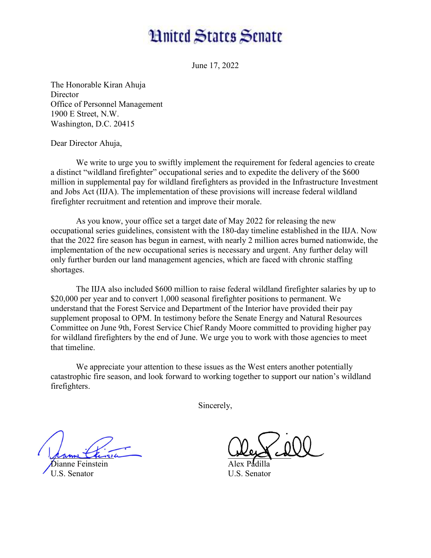## **Hnited States Senate**

June 17, 2022

The Honorable Kiran Ahuja **Director** Office of Personnel Management 1900 E Street, N.W. Washington, D.C. 20415

Dear Director Ahuja,

We write to urge you to swiftly implement the requirement for federal agencies to create a distinct "wildland firefighter" occupational series and to expedite the delivery of the \$600 million in supplemental pay for wildland firefighters as provided in the Infrastructure Investment and Jobs Act (IIJA). The implementation of these provisions will increase federal wildland firefighter recruitment and retention and improve their morale.

 As you know, your office set a target date of May 2022 for releasing the new occupational series guidelines, consistent with the 180-day timeline established in the IIJA. Now that the 2022 fire season has begun in earnest, with nearly 2 million acres burned nationwide, the implementation of the new occupational series is necessary and urgent. Any further delay will only further burden our land management agencies, which are faced with chronic staffing shortages.

 The IIJA also included \$600 million to raise federal wildland firefighter salaries by up to \$20,000 per year and to convert 1,000 seasonal firefighter positions to permanent. We understand that the Forest Service and Department of the Interior have provided their pay supplement proposal to OPM. In testimony before the Senate Energy and Natural Resources Committee on June 9th, Forest Service Chief Randy Moore committed to providing higher pay for wildland firefighters by the end of June. We urge you to work with those agencies to meet that timeline.

 We appreciate your attention to these issues as the West enters another potentially catastrophic fire season, and look forward to working together to support our nation's wildland firefighters.

Sincerely,

panne China Dianne Feinstein

U.S. Senator

\_\_\_\_\_\_\_\_\_\_\_\_\_\_\_

Alex Padilla U.S. Senator